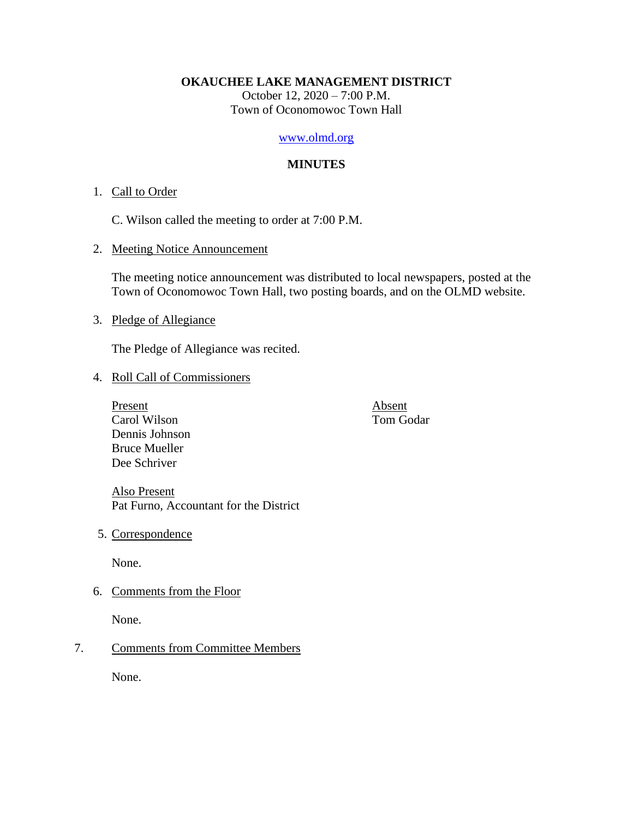#### **OKAUCHEE LAKE MANAGEMENT DISTRICT**

October 12, 2020 – 7:00 P.M. Town of Oconomowoc Town Hall

## [www.olmd.org](http://www.olmd.org/)

## **MINUTES**

## 1. Call to Order

C. Wilson called the meeting to order at 7:00 P.M.

2. Meeting Notice Announcement

The meeting notice announcement was distributed to local newspapers, posted at the Town of Oconomowoc Town Hall, two posting boards, and on the OLMD website.

## 3. Pledge of Allegiance

The Pledge of Allegiance was recited.

- 4. Roll Call of Commissioners
	- Present Absent Carol Wilson Tom Godar Dennis Johnson Bruce Mueller Dee Schriver

Also Present Pat Furno, Accountant for the District

5. Correspondence

None.

6. Comments from the Floor

None.

# 7. Comments from Committee Members

None.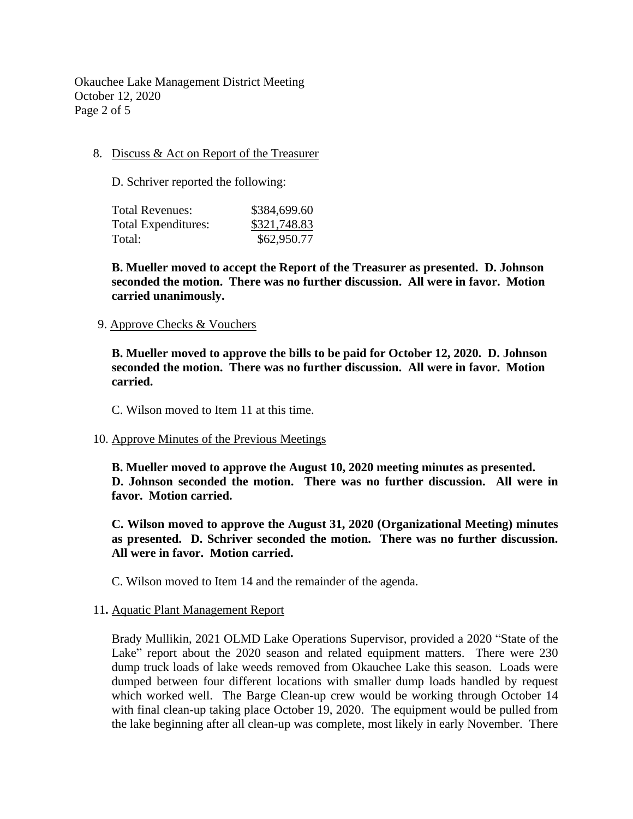Okauchee Lake Management District Meeting October 12, 2020 Page 2 of 5

### 8. Discuss & Act on Report of the Treasurer

D. Schriver reported the following:

| Total Revenues:            | \$384,699.60 |
|----------------------------|--------------|
| <b>Total Expenditures:</b> | \$321,748.83 |
| Total:                     | \$62,950.77  |

**B. Mueller moved to accept the Report of the Treasurer as presented. D. Johnson seconded the motion. There was no further discussion. All were in favor. Motion carried unanimously.**

#### 9. Approve Checks & Vouchers

**B. Mueller moved to approve the bills to be paid for October 12, 2020. D. Johnson seconded the motion. There was no further discussion. All were in favor. Motion carried.**

C. Wilson moved to Item 11 at this time.

#### 10. Approve Minutes of the Previous Meetings

**B. Mueller moved to approve the August 10, 2020 meeting minutes as presented. D. Johnson seconded the motion. There was no further discussion. All were in favor. Motion carried.**

**C. Wilson moved to approve the August 31, 2020 (Organizational Meeting) minutes as presented. D. Schriver seconded the motion. There was no further discussion. All were in favor. Motion carried.**

C. Wilson moved to Item 14 and the remainder of the agenda.

#### 11**.** Aquatic Plant Management Report

Brady Mullikin, 2021 OLMD Lake Operations Supervisor, provided a 2020 "State of the Lake" report about the 2020 season and related equipment matters. There were 230 dump truck loads of lake weeds removed from Okauchee Lake this season. Loads were dumped between four different locations with smaller dump loads handled by request which worked well. The Barge Clean-up crew would be working through October 14 with final clean-up taking place October 19, 2020. The equipment would be pulled from the lake beginning after all clean-up was complete, most likely in early November. There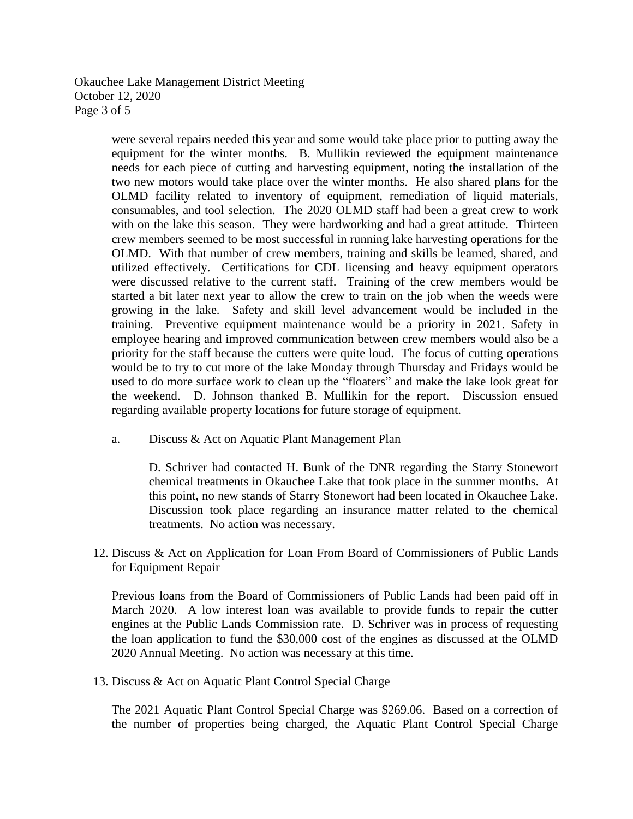Okauchee Lake Management District Meeting October 12, 2020 Page 3 of 5

> were several repairs needed this year and some would take place prior to putting away the equipment for the winter months. B. Mullikin reviewed the equipment maintenance needs for each piece of cutting and harvesting equipment, noting the installation of the two new motors would take place over the winter months. He also shared plans for the OLMD facility related to inventory of equipment, remediation of liquid materials, consumables, and tool selection. The 2020 OLMD staff had been a great crew to work with on the lake this season. They were hardworking and had a great attitude. Thirteen crew members seemed to be most successful in running lake harvesting operations for the OLMD. With that number of crew members, training and skills be learned, shared, and utilized effectively. Certifications for CDL licensing and heavy equipment operators were discussed relative to the current staff. Training of the crew members would be started a bit later next year to allow the crew to train on the job when the weeds were growing in the lake. Safety and skill level advancement would be included in the training. Preventive equipment maintenance would be a priority in 2021. Safety in employee hearing and improved communication between crew members would also be a priority for the staff because the cutters were quite loud. The focus of cutting operations would be to try to cut more of the lake Monday through Thursday and Fridays would be used to do more surface work to clean up the "floaters" and make the lake look great for the weekend. D. Johnson thanked B. Mullikin for the report. Discussion ensued regarding available property locations for future storage of equipment.

a. Discuss & Act on Aquatic Plant Management Plan

D. Schriver had contacted H. Bunk of the DNR regarding the Starry Stonewort chemical treatments in Okauchee Lake that took place in the summer months. At this point, no new stands of Starry Stonewort had been located in Okauchee Lake. Discussion took place regarding an insurance matter related to the chemical treatments. No action was necessary.

# 12. Discuss & Act on Application for Loan From Board of Commissioners of Public Lands for Equipment Repair

Previous loans from the Board of Commissioners of Public Lands had been paid off in March 2020. A low interest loan was available to provide funds to repair the cutter engines at the Public Lands Commission rate. D. Schriver was in process of requesting the loan application to fund the \$30,000 cost of the engines as discussed at the OLMD 2020 Annual Meeting. No action was necessary at this time.

13. Discuss & Act on Aquatic Plant Control Special Charge

The 2021 Aquatic Plant Control Special Charge was \$269.06. Based on a correction of the number of properties being charged, the Aquatic Plant Control Special Charge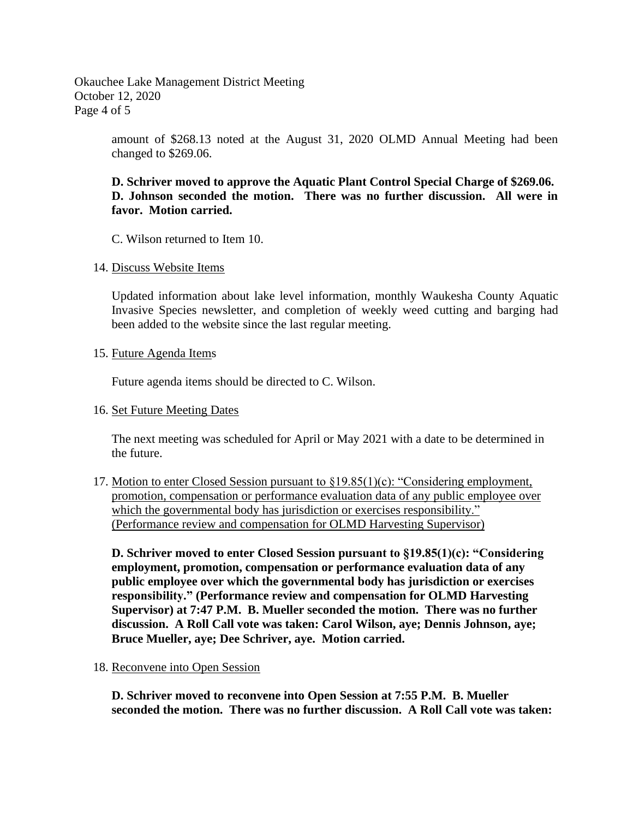Okauchee Lake Management District Meeting October 12, 2020 Page 4 of 5

> amount of \$268.13 noted at the August 31, 2020 OLMD Annual Meeting had been changed to \$269.06.

## **D. Schriver moved to approve the Aquatic Plant Control Special Charge of \$269.06. D. Johnson seconded the motion. There was no further discussion. All were in favor. Motion carried.**

C. Wilson returned to Item 10.

### 14. Discuss Website Items

Updated information about lake level information, monthly Waukesha County Aquatic Invasive Species newsletter, and completion of weekly weed cutting and barging had been added to the website since the last regular meeting.

### 15. Future Agenda Items

Future agenda items should be directed to C. Wilson.

#### 16. Set Future Meeting Dates

The next meeting was scheduled for April or May 2021 with a date to be determined in the future.

17. Motion to enter Closed Session pursuant to §19.85(1)(c): "Considering employment, promotion, compensation or performance evaluation data of any public employee over which the governmental body has jurisdiction or exercises responsibility." (Performance review and compensation for OLMD Harvesting Supervisor)

**D. Schriver moved to enter Closed Session pursuant to §19.85(1)(c): "Considering employment, promotion, compensation or performance evaluation data of any public employee over which the governmental body has jurisdiction or exercises responsibility." (Performance review and compensation for OLMD Harvesting Supervisor) at 7:47 P.M. B. Mueller seconded the motion. There was no further discussion. A Roll Call vote was taken: Carol Wilson, aye; Dennis Johnson, aye; Bruce Mueller, aye; Dee Schriver, aye. Motion carried.**

#### 18. Reconvene into Open Session

**D. Schriver moved to reconvene into Open Session at 7:55 P.M. B. Mueller seconded the motion. There was no further discussion. A Roll Call vote was taken:**